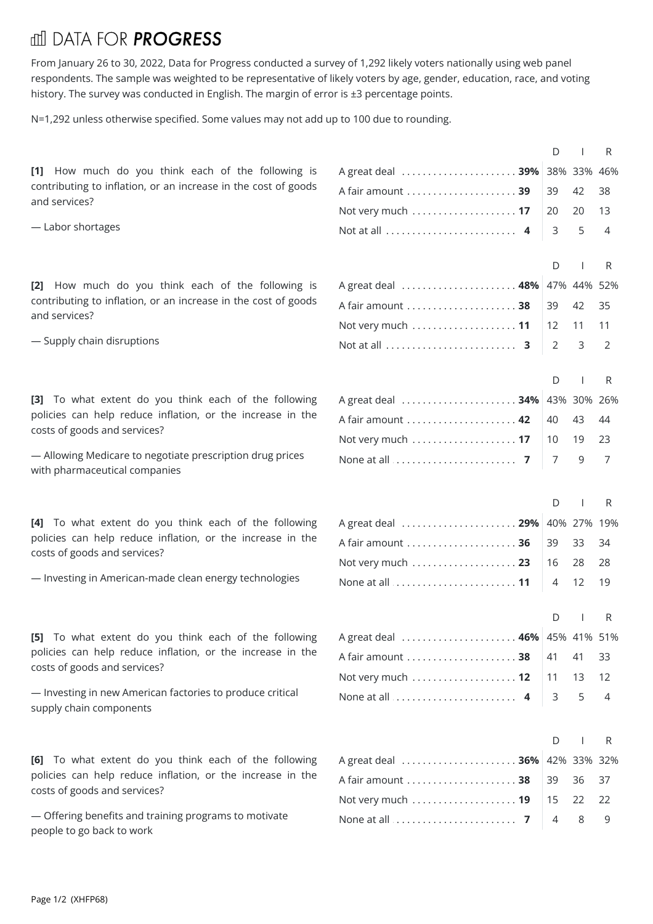## fill DATA FOR **PROGRESS**

From January 26 to 30, 2022, Data for Progress conducted a survey of 1,292 likely voters nationally using web panel respondents. The sample was weighted to be representative of likely voters by age, gender, education, race, and voting history. The survey was conducted in English. The margin of error is ±3 percentage points.

N=1,292 unless otherwise specified. Some values may not add up to 100 due to rounding.

**[1]** How much do you think each of the following is contributing to inflation, or an increase in the cost of goods and services?

— Labor shortages

**[2]** How much do you think each of the following is contributing to inflation, or an increase in the cost of goods and services?

— Supply chain disruptions

**[3]** To what extent do you think each of the following policies can help reduce inflation, or the increase in the costs of goods and services?

— Allowing Medicare to negotiate prescription drug prices with pharmaceutical companies

**[4]** To what extent do you think each of the following policies can help reduce inflation, or the increase in the costs of goods and services?

— Investing in American-made clean energy technologies

**[5]** To what extent do you think each of the following policies can help reduce inflation, or the increase in the costs of goods and services?

— Investing in new American factories to produce critical supply chain components

**[6]** To what extent do you think each of the following policies can help reduce inflation, or the increase in the costs of goods and services?

— Offering benefits and training programs to motivate people to go back to work

|                     | D              | $\overline{\phantom{a}}$ | R              |
|---------------------|----------------|--------------------------|----------------|
| A great deal  39%   |                | 38% 33% 46%              |                |
| A fair amount  39   | 39             | 42                       | 38             |
| Not very much  17   | 20             | 20                       | 13             |
|                     | 3              | 5                        | $\overline{4}$ |
|                     |                |                          |                |
|                     | D              | $\mathbf{I}$             | R.             |
| A great deal  48%   |                | 47% 44% 52%              |                |
| A fair amount  38   | 39             | 42                       | 35             |
| Not very much  11   | 12             | 11                       | 11             |
|                     | $\overline{2}$ | 3                        | 2              |
|                     | D              | <b>I</b>                 | R              |
| A great deal  34%   |                | 43% 30% 26%              |                |
|                     | 40             | 43                       | 44             |
|                     | 10             | 19                       | 23             |
|                     | 7              | 9                        | 7              |
|                     |                |                          |                |
|                     | D              | $\mathbf{I}$             | R              |
| A great deal  29%   |                | 40% 27% 19%              |                |
| A fair amount  36   | 39             | 33                       | 34             |
|                     | 16             | 28                       | 28             |
|                     | 4              | 12                       | 19             |
|                     |                |                          |                |
|                     | D              |                          | R              |
| 46%<br>A great deal |                | 45% 41% 51%              |                |
| A fair amount  38   | 41             | 41                       | 33             |
| Not very much  12   | 11             | 13                       | 12             |
| None at all  4      | 3              | 5                        | 4              |
|                     |                |                          |                |
|                     | D              | $\mathbf{I}$             | $\mathsf{R}$   |
| A great deal  36%   |                | 42% 33% 32%              |                |
| A fair amount  38   | 39             | 36                       | 37             |
|                     | 15             | 22                       | 22             |

. . . . . . . . . . . . . . . . . . . . . . . . . . . . . . . . . . . . . . . . . . . . . . . . . . . . . . . . . . . . . . . . . . . . . . . . . . . . . . . . Noneat all**7** 489